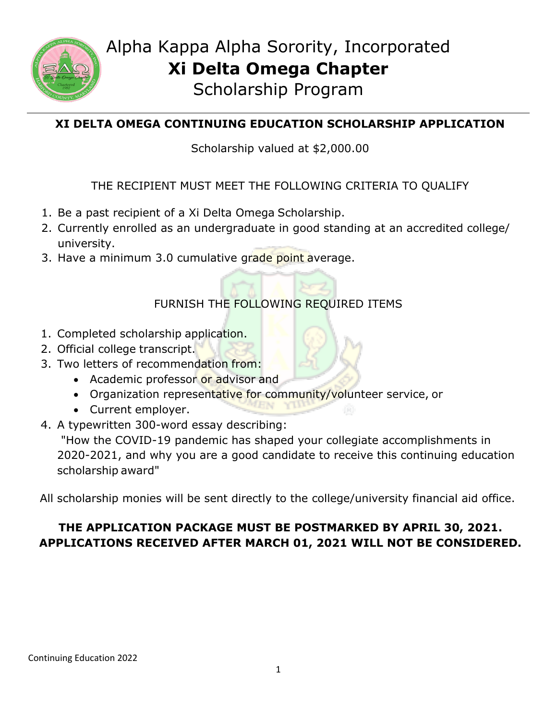

# Alpha Kappa Alpha Sorority, Incorporated **Xi Delta Omega Chapter**

Scholarship Program

### **XI DELTA OMEGA CONTINUING EDUCATION SCHOLARSHIP APPLICATION**

Scholarship valued at \$2,000.00

#### THE RECIPIENT MUST MEET THE FOLLOWING CRITERIA TO QUALIFY

- 1. Be a past recipient of a Xi Delta Omega Scholarship.
- 2. Currently enrolled as an undergraduate in good standing at an accredited college/ university.
- 3. Have a minimum 3.0 cumulative grade point average.

## FURNISH THE FOLLOWING REQUIRED ITEMS

- 1. Completed scholarship application.
- 2. Official college transcript.
- 3. Two letters of recommendation from:
	- Academic professor or advisor and
	- Organization representative for community/volunteer service, or
	- Current employer.
- 4. A typewritten 300-word essay describing:

"How the COVID-19 pandemic has shaped your collegiate accomplishments in 2020-2021, and why you are a good candidate to receive this continuing education scholarship award"

All scholarship monies will be sent directly to the college/university financial aid office.

#### **THE APPLICATION PACKAGE MUST BE POSTMARKED BY APRIL 30, 2021. APPLICATIONS RECEIVED AFTER MARCH 01, 2021 WILL NOT BE CONSIDERED.**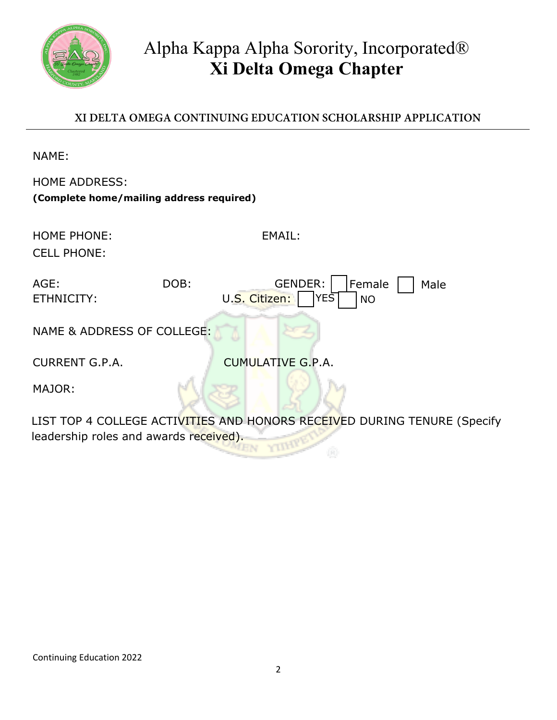

# Alpha Kappa Alpha Sorority, Incorporated® **Xi Delta Omega Chapter**

#### **XI DELTA OMEGA CONTINUING EDUCATION SCHOLARSHIP APPLICATION**

NAME:

| <b>HOME ADDRESS:</b>                     |      |                                           |  |  |
|------------------------------------------|------|-------------------------------------------|--|--|
| (Complete home/mailing address required) |      |                                           |  |  |
|                                          |      |                                           |  |  |
| <b>HOME PHONE:</b>                       |      | EMAIL:                                    |  |  |
| <b>CELL PHONE:</b>                       |      |                                           |  |  |
|                                          |      |                                           |  |  |
| $AGE$ :                                  | DOB: | <b>GENDER:</b><br>Female<br>Male          |  |  |
| ETHNICITY:                               |      | $YE\bar{S}$<br>U.S. Citizen:<br><b>NO</b> |  |  |
|                                          |      |                                           |  |  |
| NAME & ADDRESS OF COLLEGE:               |      |                                           |  |  |
| <b>CURRENT G.P.A.</b>                    |      | <b>CUMULATIVE G.P.A.</b>                  |  |  |
|                                          |      |                                           |  |  |
| MAJOR:                                   |      |                                           |  |  |
|                                          |      |                                           |  |  |

LIST TOP 4 COLLEGE ACTIVITIES AND HONORS RECEIVED DURING TENURE (Specify leadership roles and awards received). **Allen EN**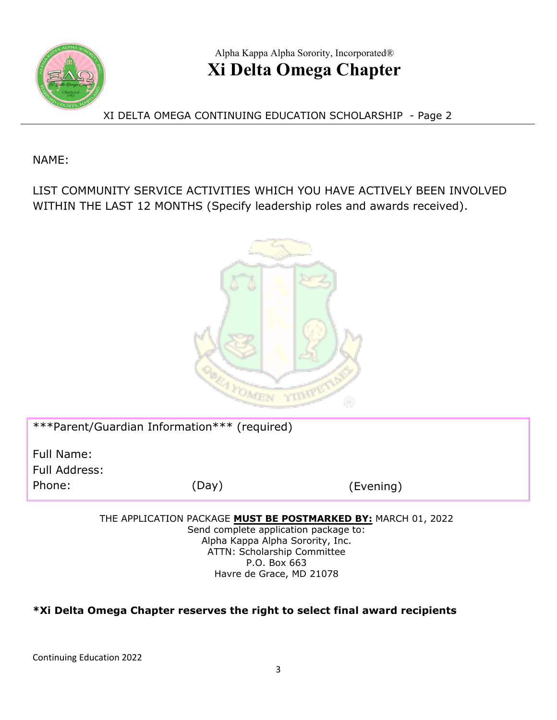

# Alpha Kappa Alpha Sorority, Incorporated® **Xi Delta Omega Chapter**

XI DELTA OMEGA CONTINUING EDUCATION SCHOLARSHIP - Page 2

NAME:

LIST COMMUNITY SERVICE ACTIVITIES WHICH YOU HAVE ACTIVELY BEEN INVOLVED WITHIN THE LAST 12 MONTHS (Specify leadership roles and awards received).



| ***Parent/Guardian Information*** (required) |       |           |  |
|----------------------------------------------|-------|-----------|--|
| Full Name:<br>Full Address:<br>Phone:        | (Day) | (Evening) |  |
|                                              |       |           |  |

THE APPLICATION PACKAGE **MUST BE POSTMARKED BY:** MARCH 01, 2022

Send complete application package to: Alpha Kappa Alpha Sorority, Inc. ATTN: Scholarship Committee P.O. Box 663 Havre de Grace, MD 21078

#### **\*Xi Delta Omega Chapter reserves the right to select final award recipients**

Continuing Education 2022